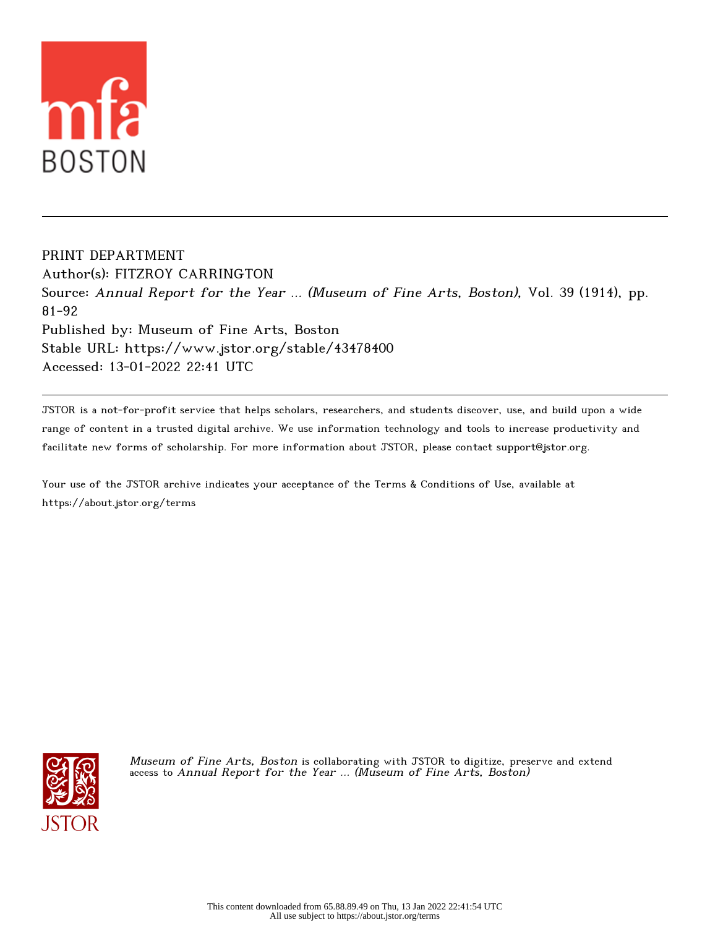

PRINT DEPARTMENT Author(s): FITZROY CARRINGTON Source: Annual Report for the Year ... (Museum of Fine Arts, Boston), Vol. 39 (1914), pp. 81-92 Published by: Museum of Fine Arts, Boston Stable URL: https://www.jstor.org/stable/43478400 Accessed: 13-01-2022 22:41 UTC

JSTOR is a not-for-profit service that helps scholars, researchers, and students discover, use, and build upon a wide range of content in a trusted digital archive. We use information technology and tools to increase productivity and facilitate new forms of scholarship. For more information about JSTOR, please contact support@jstor.org.

Your use of the JSTOR archive indicates your acceptance of the Terms & Conditions of Use, available at https://about.jstor.org/terms



Museum of Fine Arts, Boston is collaborating with JSTOR to digitize, preserve and extend access to Annual Report for the Year ... (Museum of Fine Arts, Boston)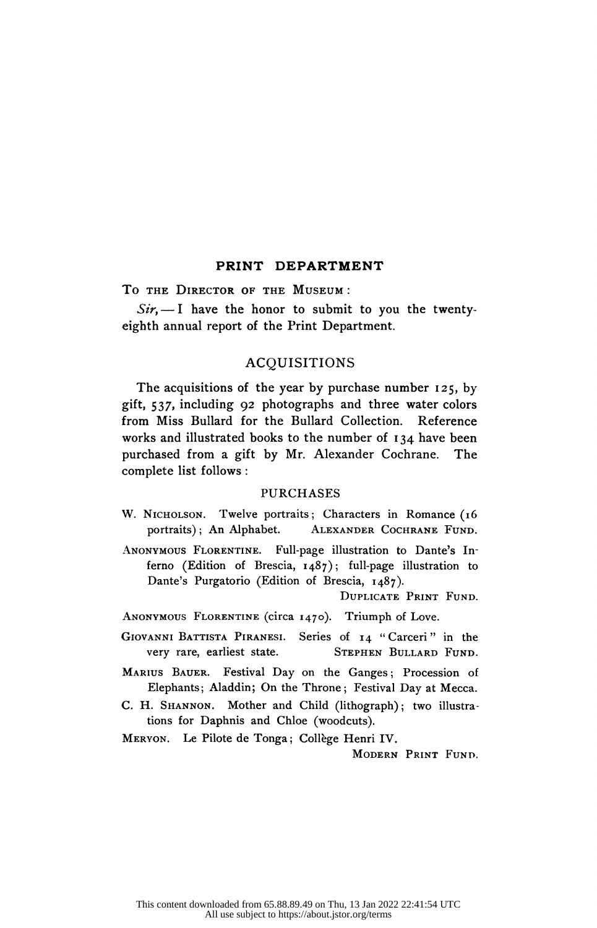## PRINT DEPARTMENT

To the Director of the Museum :

 $Sir, -I$  have the honor to submit to you the twentyeighth annual report of the Print Department.

# ACQUISITIONS

 The acquisitions of the year by purchase number 125, by gift, 537, including 92 photographs and three water colors from Miss Bullard for the Bullard Collection. Reference works and illustrated books to the number of 134 have been purchased from a gift by Mr. Alexander Cochrane. The complete list follows :

# PURCHASES

- W. NICHOLSON. Twelve portraits; Characters in Romance (16 portraits); An Alphabet. ALEXANDER COCHRANE FUND. ALEXANDER COCHRANE FUND.
- Anonymous Florentine. Full-page illustration to Dante's In ferno (Edition of Brescia, 1487); full-page illustration to Dante's Purgatorio (Edition of Brescia, 1487).

Duplicate Print Fund.

- ANONYMOUS FLORENTINE (circa 1470). Triumph of Love.
- GIOVANNI BATTISTA PIRANESI. Series of 14 "Carceri" in the very rare, earliest state. STEPHEN BULLARD FUND. STEPHEN BULLARD FUND.
- MARIUS BAUER. Festival Day on the Ganges; Procession of Elephants; Aladdin; On the Throne; Festival Day at Mecca.
- C. H. SHANNON. Mother and Child (lithograph); two illustrations for Daphnis and Chloe (woodcuts).

Meryon. Le Pilote de Tonga; College Henri IV.

Modern Print Fund.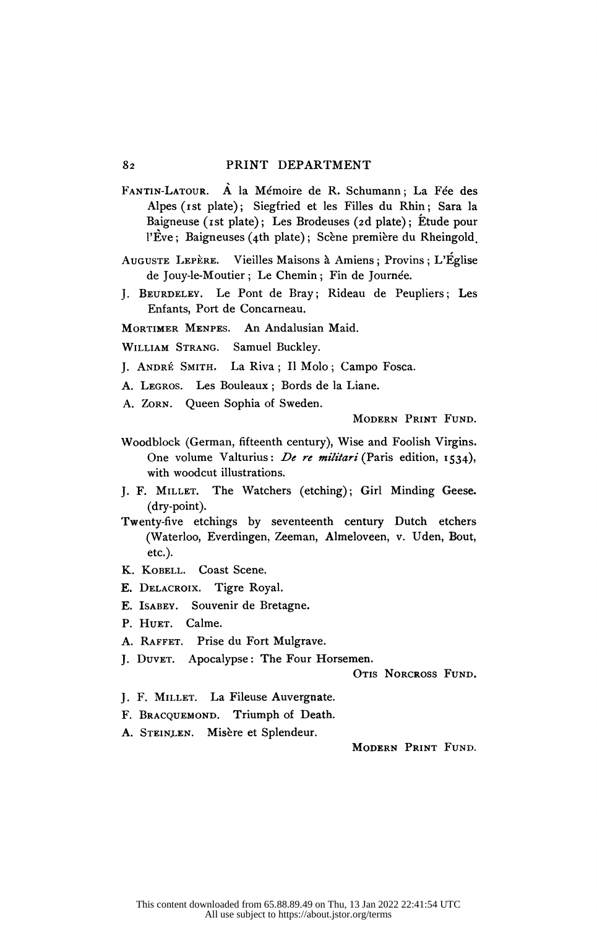- Fantin-Latour. A la Mémoire de R. Schumann ; La Fée des Alpes (ist plate); Siegfried et les Filles du Rhin; Sara la Baigneuse (ist plate); Les Brodeuses (2d plate); Etude pour l'Eve ; Baigneuses (4th plate) ; Scène première du Rheingold.
- Auguste Lepère. Vieilles Maisons à Amiens ; Provins ; L'Église de Jouy-le-Moutier ; Le Chemin ; Fin de Journée.
- J. Beurdeley. Le Pont de Bray; Rideau de Peupliers; Les Enfants, Port de Concarneau.

Mortimer Menpes. An Andalusian Maid.

- William Strang. Samuel Buckley.
- J. André Smith. La Riva ; Il Molo ; Campo Fosca.
- A. Legros. Les Bouleaux ; Bords de la Liane.

A. Zorn. Queen Sophia of Sweden.

Modern Print Fund.

- Woodblock (German, fifteenth century), Wise and Foolish Virgins. One volume Valturius: De re militari (Paris edition, 1534), with woodcut illustrations.
- J. F. Millet. The Watchers (etching); Girl Minding Geese, (dry-point).
- Twenty-five etchings by seventeenth century Dutch etchers (Waterloo, Everdingen, Zeeman, Almeloveen, v. Uden, Bout, etc.).
- K. KOBELL. Coast Scene.
- E. Delacroix. Tigre Royal.
- E. Isabey. Souvenir de Bretagne.
- P. HUET. Calme.
- A. RAFFET. Prise du Fort Mulgrave.
- J. Duver. Apocalypse: The Four Horsemen.

OTIS NORCROSS FUND.

- J. F. MILLET. La Fileuse Auvergnate.
- F. BRACQUEMOND. Triumph of Death.
- A. Steinlen. Misère et Splendeur.

Modern Print Fund.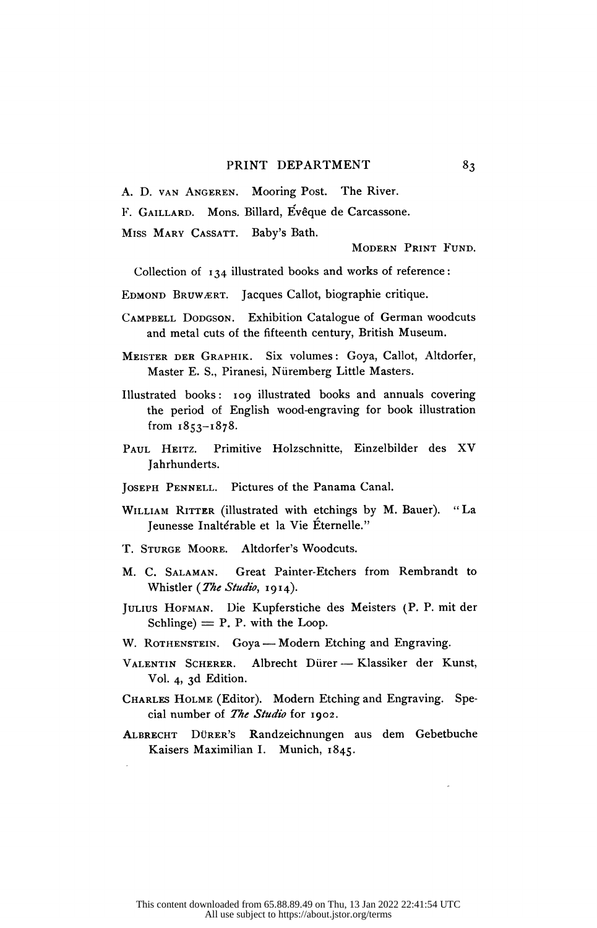A. D. van Angeren. Mooring Post. The River.

F. Gaillard. Möns. Billard, Evêque de Carcassone.

Miss Mary Cassatt. Baby's Bath.

Modern Print Fund.

Collection of 134 illustrated books and works of reference:

- EDMOND BRUWÆRT. Jacques Callot, biographie critique.
- CAMPBELL DODGSON. Exhibition Catalogue of German woodcuts and metal cuts of the fifteenth century, British Museum.
- MEISTER DER GRAPHIK. Six volumes: Goya, Callot, Altdorfer, Master E. S., Piranesi, Nüremberg Little Masters.
- Illustrated books: 109 illustrated books and annuals covering the period of English wood-engraving for book illustration from 1853-1878.
- Paul Heitz. Primitive Holzschnitte, Einzelbilder des XV Jahrhunderts.
- Joseph Pennell. Pictures of the Panama Canal.
- WILLIAM RITTER (illustrated with etchings by M. Bauer). "La Jeunesse Inaltérable et la Vie Éternelle."
- T. Sturge Moore. Altdorfer's Woodcuts.
- M. C. Salaman. Great Painter-Etchers from Rembrandt to Whistler (The Studio, 1914).
- Julius Hofman. Die Kupferstiche des Meisters (P. P. mit der  $Schlinge) = P$ . P. with the Loop.
- W. ROTHENSTEIN. Goya Modern Etching and Engraving.
- VALENTIN SCHERER. Albrecht Dürer Klassiker der Kunst, Vol. 4, 3d Edition.
- CHARLES HOLME (Editor). Modern Etching and Engraving. Special number of *The Studio* for 1902.
- Albrecht Dürer's Randzeichnungen aus dem Gebetbuche Kaisers Maximilian I. Munich, 1845.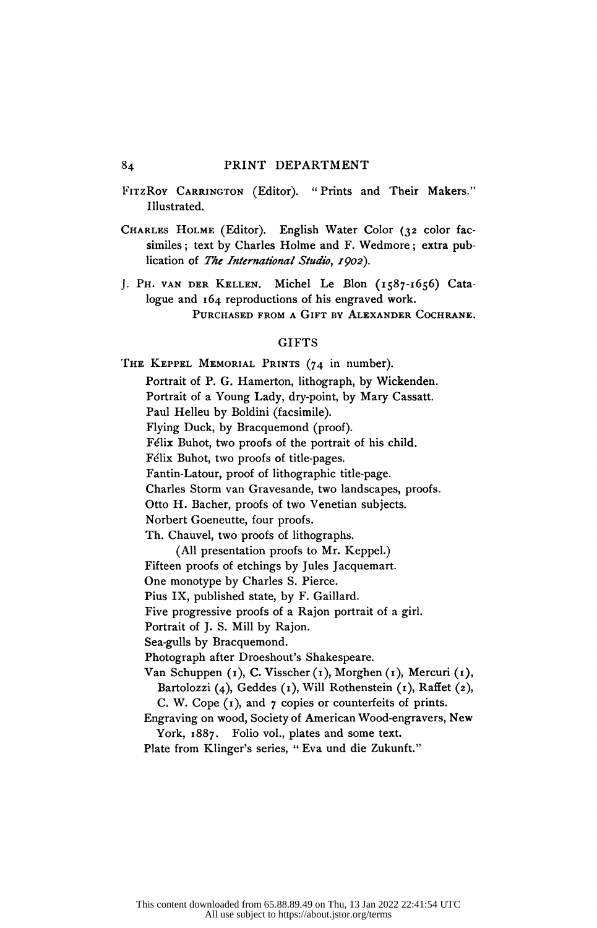- FITZROY CARRINGTON (Editor). "Prints and Their Makers." Illustrated.
- CHARLES HOLME (Editor). English Water Color (32 color fac similes ; text by Charles Holme and F. Wedmore ; extra pub lication of The International Studio, 1902).
- J. Ph. van der Kellen. Michel Le Bion (1587-1656) Cata logue and 164 reproductions of his engraved work. Purchased from a Gift by Alexander Cochrane.

## **GIFTS**

THE KEPPEL MEMORIAL PRINTS (74 in number). Portrait of P. G. Hamerton, lithograph, by Wickenden. Portrait of a Young Lady, dry-point, by Mary Cassatt. Paul Helleu by Boldini (facsimile). Flying Duck, by Bracquemond (proof). Félix Buhot, two proofs of the portrait of his child. Félix Buhot, two proofs of title-pages. Fantin-Latour, proof of lithographic title-page. Charles Storm van Gravesande, two landscapes, proofs. Otto H. Bacher, proofs of two Venetian subjects. Norbert Goeneutte, four proofs. Th. Chauvel, two proofs of lithographs. (All presentation proofs to Mr. Keppel.) Fifteen proofs of etchings by Jules Jacquemart. One monotype by Charles S. Pierce. Pius IX, published state, by F. Gaillard. Five progressive proofs of a Rajon portrait of a girl. Portrait of J. S. Mill by Rajon. Sea-gulls by Bracquemond. Photograph after Droeshouťs Shakespeare. Van Schuppen (1), C. Visscher (1), Morghen (1), Mercuri (1), Bartolozzi (4), Geddes (1), Will Rothenstein (1), Raffet (2), C. W. Cope  $(r)$ , and  $r$  copies or counterfeits of prints. Engraving on wood, Society of American Wood-engravers, New York, 1887. Folio vol., plates and some text.

Plate from Klinger's series, " Eva und die Zukunft."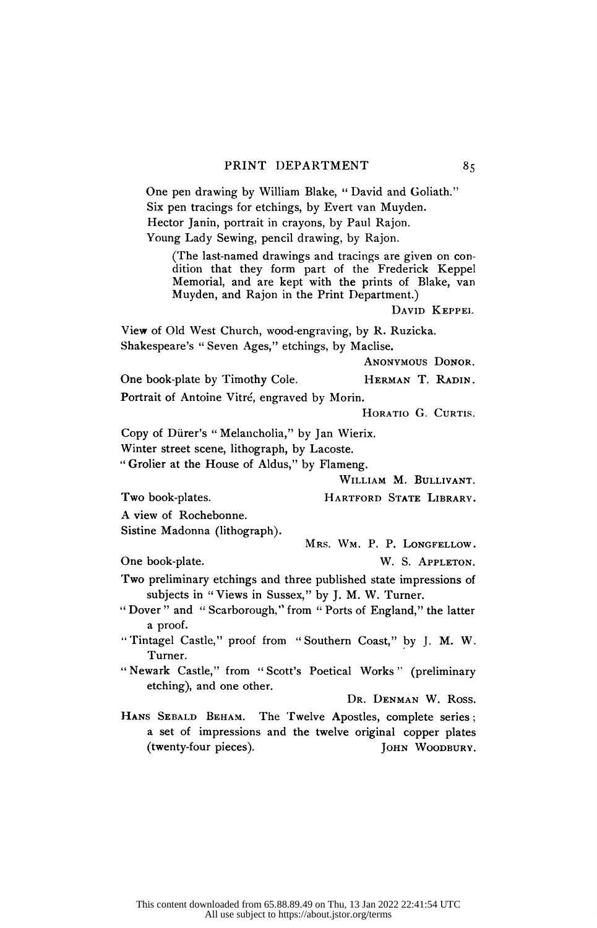One pen drawing by William Blake, " David and Goliath." Six pen tracings for etchings, by Evert van Muyden. Hector Janin, portrait in crayons, by Paul Rajon. Young Lady Sewing, pencil drawing, by Rajon.

 (The last-named drawings and tracings are given on con dition that they form part of the Frederick Keppel Memorial, and are kept with the prints of Blake, van Muyden, and Rajon in the Print Department.)

David Keppel

 View of Old West Church, wood-engraving, by R. Ruzicka. Shakespeare's " Seven Ages," etchings, by Maclise.

Anonymous Donor.

One book-plate by Timothy Cole. HERMAN T. RADIN. Portrait of Antoine Vitré, engraved by Morin.

HORATIO G. CURTIS.

 Copy of Diirer's " Melancholia," by Jan Wierix. Winter street scene, lithograph, by Lacoste.

" Grolier at the House of Aldus," by Flameng.

William M. Bullivant.

Two book-plates. HARTFORD STATE LIBRARY.

A view of Rochebonne.

Sistine Madonna (lithograph).

Mrs. Wm. P. P. Longfellow.

One book-plate. W. S. APPLETON.

- Two preliminary etchings and three published state impressions of subjects in " Views in Sussex," by J. M. W. Turner.
- " Dover" and " Scarborough," from " Ports of England," the latter a proof.

 " Tintagel Castle," proof from " Southern Coast," by J. M. W. Turner.

" Newark Castle," from "Scott's Poetical Works" (preliminary etching), and one other.

Dr. Denman W. Ross.

HANS SEBALD BEHAM. The Twelve Apostles, complete series; a set of impressions and the twelve original copper plates (twenty-four pieces). [OHN WOODBURY. (twenty-four pieces).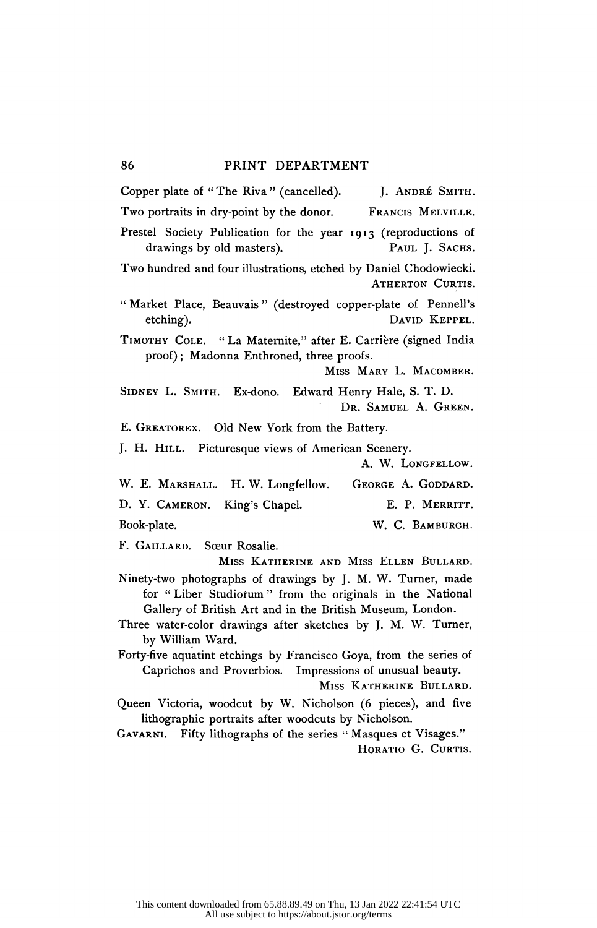Copper plate of "The Riva " (cancelled). J. ANDRÉ SMITH.<br>Two portraits in drv-point by the donor. FRANCIS MELVILLE. Two portraits in dry-point by the donor. Prestel Society Publication for the year 1913 (reproductions of drawings by old masters). PAUL J. SACHS. drawings by old masters). Two hundred and four illustrations, etched by Daniel Chodowiecki. ATHERTON CURTIS. " Market Place, Beauvais " (destroyed copper-plate of Pennelli etching). David Keppel. Timothy Cole. " La Maternite," after E. Carrière (signed India proof) ; Madonna Enthroned, three proofs. Miss Mary L. Macomber. SIDNEY L. SMITH. Ex-dono. Edward Henry Hale, S. T. D. Dr. Samuel A. Green. E. GREATOREX. Old New York from the Battery. J. H. Hill. Picturesque views of American Scenery. A. W. LONGFELLOW. W. E. MARSHALL. H. W. Longfellow. GEORGE A. GODDARD. D. Y. CAMERON. King's Chapel. E. P. MERRITT. Book-plate. W. C. BAMBURGH.

F. Gaillard. Sœur Rosalie.

 Miss Katherine and Miss Ellen Bullard. Ninety-two photographs of drawings by J. M. W. Turner, made for " Liber Studiořum " from the originals in the National Gallery of British Art and in the British Museum, London.

 Three water-color drawings after sketches by J. M. W. Turner, by William Ward.

 Forty-five aquatint etchings by Francisco Goya, from the series of Caprichos and Proverbios. Impressions of unusual beauty.

Miss Katherine Bullard.

 Queen Victoria, woodcut by W. Nicholson (6 pieces), and five lithographic portraits after woodcuts by Nicholson.

GAVARNI. Fifty lithographs of the series " Masques et Visages." HORATIO G. CURTIS.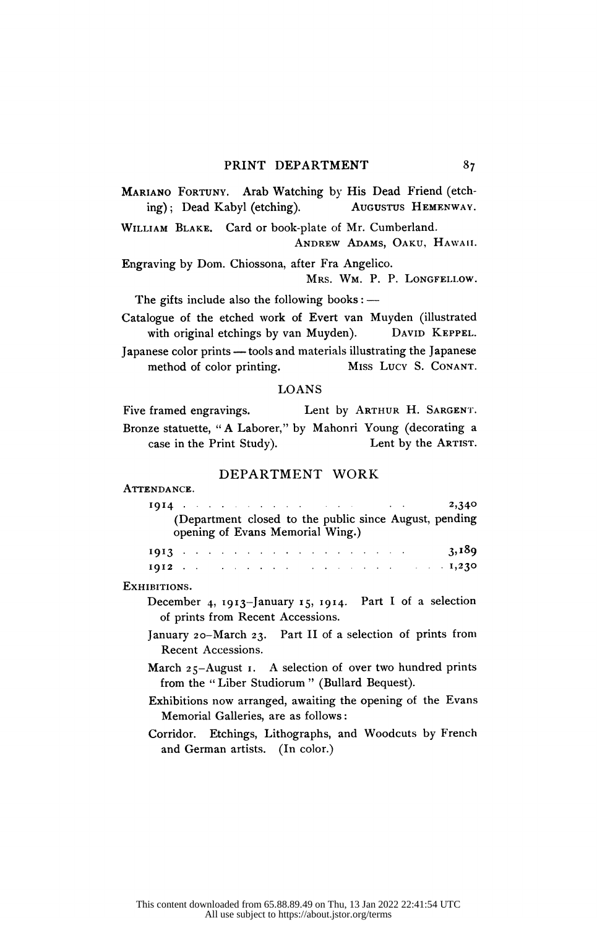MARIANO FORTUNY. Arab Watching by His Dead Friend (etch-<br>ing): Dead Kabyl (etching). AUGUSTUS HEMENWAY. ing); Dead Kabyl (etching).

William Blake. Card or book-plate of Mr. Cumberland.

Andrew Adams, Oaku, Hawaii.

 Engraving by Dom. Chiossona, after Fra Angelico. Mrs. Wm. P. P. Longfellow.

The gifts include also the following books :  $-$ 

 Catalogue of the etched work of Evert van Muyden (illustrated with original etchings by van Muyden).

Japanese color prints — tools and materials illustrating the Japanese<br>method of color printing. MISS LUCY S. CONANT. method of color printing.

# LOANS

Five framed engravings. Lent by ARTHUR H. SARGENT. Bronze statuette, "A Laborer," by Mahonri Young (decorating a case in the Print Study). Lent by the ARTIST. case in the Print Study).

# DEPARTMENT WORK

#### ATTENDANCE.

| Bronze statuette, "A Laborer," by Mahonri Young (decorating a                                                    |
|------------------------------------------------------------------------------------------------------------------|
| case in the Print Study).<br>Lent by the ARTIST.                                                                 |
| DEPARTMENT WORK                                                                                                  |
| ATTENDANCE.                                                                                                      |
| $1914$ and $2,340$<br>(Department closed to the public since August, pending<br>opening of Evans Memorial Wing.) |
| 1912 and $1,230$                                                                                                 |
| EXHIBITIONS.                                                                                                     |
| December 4, 1913-January 15, 1914. Part I of a selection<br>of prints from Recent Accessions.                    |
| January 20-March 23. Part II of a selection of prints from                                                       |
| Recent Accessions.                                                                                               |

- March  $25 August\ 1$ . A selection of over two hundred prints from the "Liber Studiorum" (Bullard Bequest).
- Exhibitions now arranged, awaiting the opening of the Evans Memorial Galleries, are as follows :

 Corridor. Etchings, Lithographs, and Woodcuts by French and German artists. (In color.)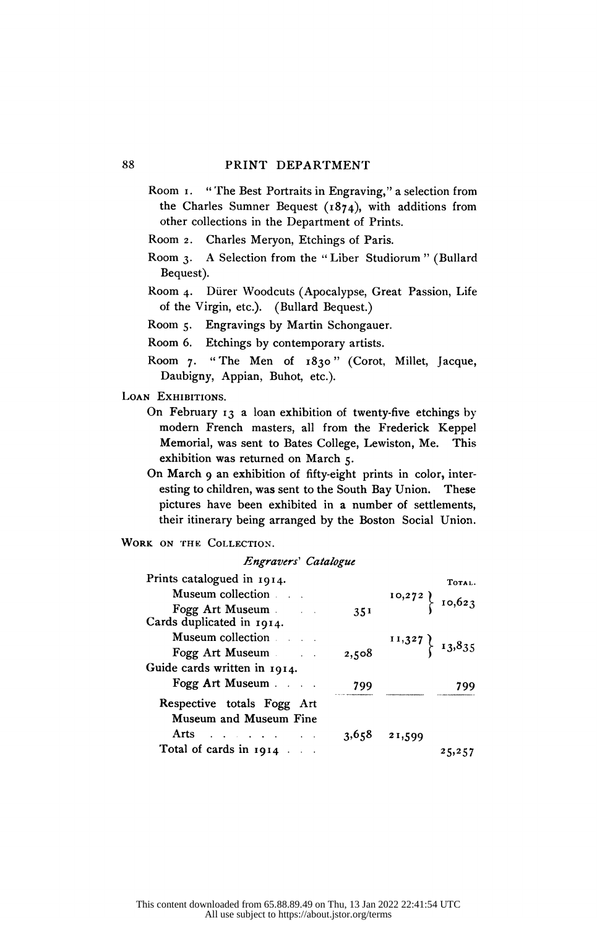Room 1. " The Best Portraits in Engraving," a selection from the Charles Sumner Bequest (1874), with additions from other collections in the Department of Prints.<br>Room 2. Charles Mervon. Etchings of Paris.

Room 2. Charles Meryon, Etchings of Paris.<br>Room 3. A Selection from the "Liber Studio

- A Selection from the "Liber Studiorum" (Bullard Bequest).
- Room 4. Dürer Woodcuts (Apocalypse, Great Passion, Life of the Virgin, etc.). (Bullard Bequest.)

Room 5. Engravings by Martin Schongauer.

Room 6. Etchings by contemporary artists.

 Room 7. "The Men of 1830" (Corot, Millet, Jacque, Daubigny, Appian, Buhot, etc.).

LOAN EXHIBITIONS.

- On February  $13$  a loan exhibition of twenty-five etchings by modern French masters, all from the Frederick Keppel<br>Memorial was sent to Bates College. Lewiston Me. This Memorial, was sent to Bates College, Lewiston, Me. exhibition was returned on March 5.
- On March 9 an exhibition of fifty-eight prints in color, inter-<br>esting to children, was sent to the South Bay Union. These esting to children, was sent to the South Bay Union. pictures have been exhibited in a number of settlements, their itinerary being arranged by the Boston Social Union.

WORK ON THE COLLECTION.

## Engravers' Catalogue

| Prints catalogued in $1914$ .                |       |        | TOTAL.                                                                    |
|----------------------------------------------|-------|--------|---------------------------------------------------------------------------|
| Museum collection and all                    |       |        |                                                                           |
| Fogg Art Museum<br>Cards duplicated in 1914. | 351   |        | $\left\{\n\begin{array}{c}\n10,272 \\ 10,623\n\end{array}\n\right\}$      |
| Museum collection and the Museum collection  |       |        | $\left\{\n \begin{array}{c}\n 11,327 \\  13,835\n \end{array}\n \right\}$ |
| Fogg Art Museum                              | 2,508 |        |                                                                           |
| Guide cards written in 1914.                 |       |        |                                                                           |
| Fogg Art Museum                              | 799   |        | 799                                                                       |
| Respective totals Fogg Art                   |       |        |                                                                           |
| Museum and Museum Fine                       |       |        |                                                                           |
| Arts                                         | 3,658 | 21,599 |                                                                           |
| Total of cards in 1914                       |       |        | 25,257                                                                    |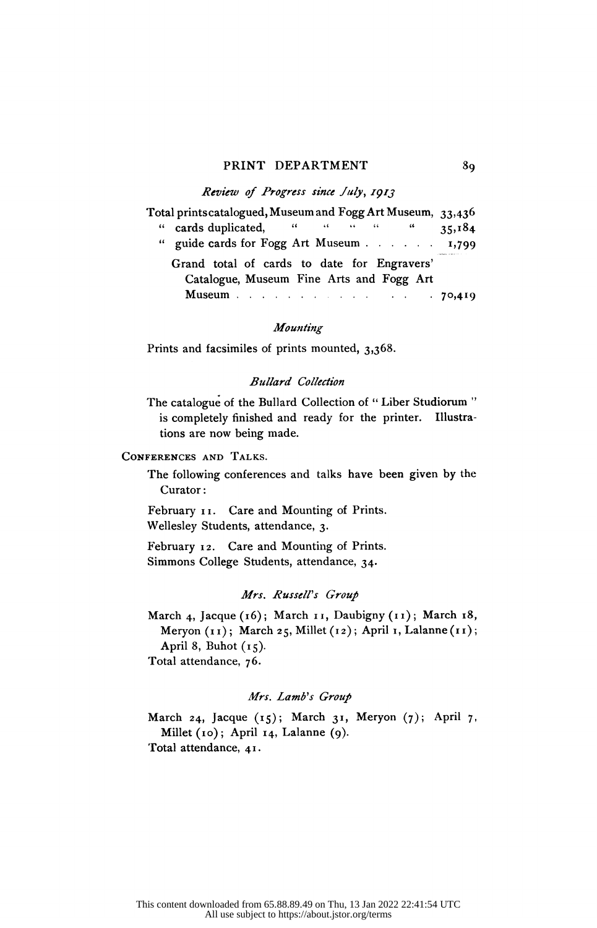#### PRINT DEPARTMENT 89

## Review of Progress since July, 1913

| Total prints catalogued, Museum and Fogg Art Museum, 33,436                             |
|-----------------------------------------------------------------------------------------|
| " cards duplicated, " " " " " "<br>35,184                                               |
| " guide cards for Fogg Art Museum 1,799                                                 |
| Grand total of cards to date for Engravers'<br>Catalogue, Museum Fine Arts and Fogg Art |
| <b>Museum</b> 70,419                                                                    |
|                                                                                         |

# Mounting

Prints and facsimiles of prints mounted, 3,368.

## Bullard Collection

 The catalogue of the Bullard Collection of " Liber Studiorum " is completely finished and ready for the printer. Illustra tions are now being made.

# Conferences and Talks.

 The following conferences and talks have been given by the Curator :

 February 11. Care and Mounting of Prints. Wellesley Students, attendance, 3.

 February 12. Care and Mounting of Prints. Simmons College Students, attendance, 34.

# Mrs. Russell's Group

March 4, Jacque (16); March 11, Daubigny (11); March 18, Meryon (11); March 25, Millet (12); April 1, Lalanne (11); April 8, Buhot  $(15)$ . Total attendance, 76.

# Mrs. Lamb's Group

March 24, Jacque  $(15)$ ; March 31, Meryon  $(7)$ ; April 7, Millet (10); April 14, Lalanne (9). Total attendance, 41.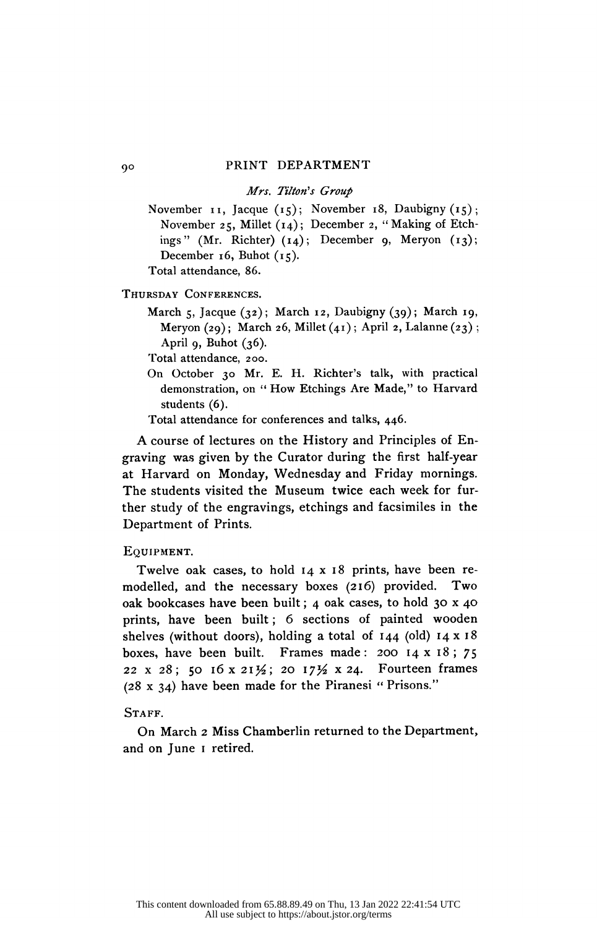## Mrs. Tilton's Group

November 11, Jacque  $(15)$ ; November 18, Daubigny  $(15)$ ; November 25, Millet (14); December 2, " Making of Etch ings" (Mr. Richter)  $(14)$ ; December 9, Meryon  $(13)$ ; December 16, Buhot  $(15)$ . Total attendance, 86.

Thursday Conferences.

March 5, Jacque (32); March 12, Daubigny (39); March 19, Meryon  $(29)$ ; March 26, Millet  $(41)$ ; April 2, Lalanne  $(23)$ ; April 9, Buhot  $(36)$ .

Total attendance, 200.

- On October 30 Mr. E. H. Richter's talk, with practical demonstration, on " How Etchings Are Made," to Harvard students (6).
- Total attendance for conferences and talks, 446.

 A course of lectures on the History and Principles of En graving was given by the Curator during the first half-year at Harvard on Monday, Wednesday and Friday mornings. The students visited the Museum twice each week for fur ther study of the engravings, etchings and facsimiles in the Department of Prints.

#### Equipment.

 Twelve oak cases, to hold 14 x 18 prints, have been re modelled, and the necessary boxes (216) provided. Two oak bookcases have been built ; 4 oak cases, to hold 30 x 40 prints, have been built ; 6 sections of painted wooden shelves (without doors), holding a total of  $144$  (old)  $14 \times 18$ boxes, have been built. Frames made: 200  $14 \times 18$ ; 75 22 x 28; 50 16 x 21 $\frac{1}{2}$ ; 20 17 $\frac{1}{2}$  x 24. Fourteen frames  $(28 \times 34)$  have been made for the Piranesi " Prisons."

## STAFF.

 On March 2 Miss Chamberlin returned to the Department and on June 1 retired.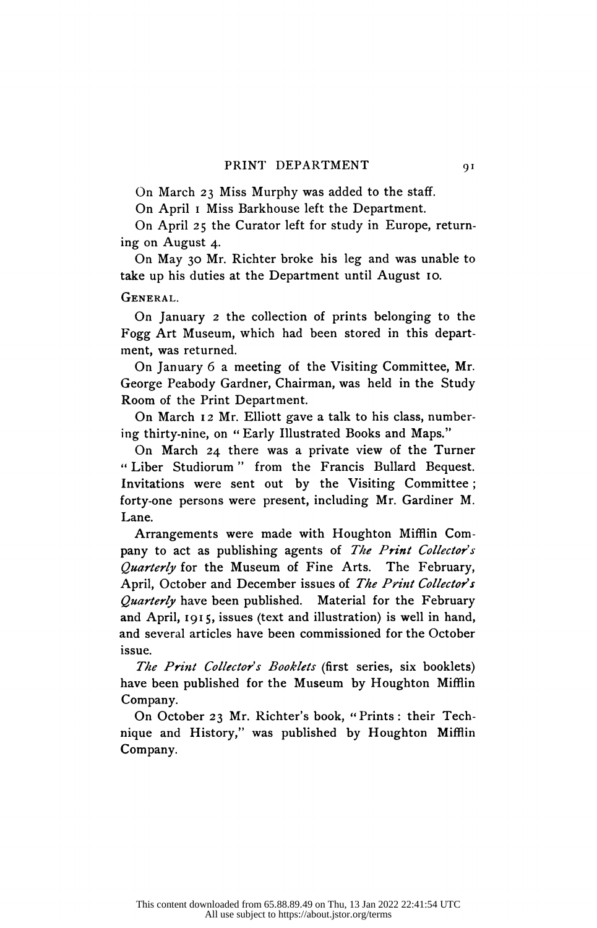On March 23 Miss Murphy was added to the staff.

On April i Miss Barkhouse left the Department.

 On April 25 the Curator left for study in Europe, return ing on August 4.

 On May 30 Mr. Richter broke his leg and was unable to take up his duties at the Department until August 10.

General.

 On January 2 the collection of prints belonging to the Fogg Art Museum, which had been stored in this depart ment, was returned.

 On January 6 a meeting of the Visiting Committee, Mr. George Peabody Gardner, Chairman, was held in the Study Room of the Print Department.

 On March 12 Mr. Elliott gave a talk to his class, number ing thirty-nine, on " Early Illustrated Books and Maps."

 On March 24 there was a private view of the Turner " Liber Studiorum " from the Francis Bullard Bequest. Invitations were sent out by the Visiting Committee ; forty-one persons were present, including Mr. Gardiner M. Lane.

 Arrangements were made with Houghton Mifflin Com pany to act as publishing agents of The Print Collector's Quarterly for the Museum of Fine Arts. The February, April, October and December issues of The Print Collector's Quarterly have been published. Material for the February and April, 1915, issues (text and illustration) is well in hand, and several articles have been commissioned for the October issue.

The Print Collector's Booklets (first series, six booklets) have been published for the Museum by Houghton Mifflin Company.

 On October 23 Mr. Richter's book, "Prints: their Tech nique and History," was published by Houghton Mifflin Company.